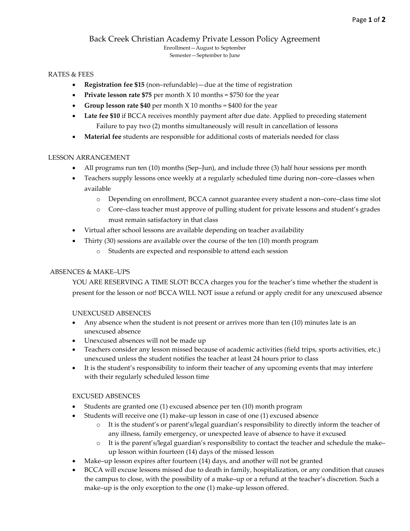#### Back Creek Christian Academy Private Lesson Policy Agreement Enrollment—August to September Semester—September to June

#### RATES & FEES

- **Registration fee \$15** (non–refundable)—due at the time of registration
- **Private lesson rate \$75** per month X 10 months = \$750 for the year
- **Group lesson rate \$40** per month X 10 months = \$400 for the year
- Late fee \$10 if BCCA receives monthly payment after due date. Applied to preceding statement Failure to pay two (2) months simultaneously will result in cancellation of lessons
- **Material fee** students are responsible for additional costs of materials needed for class

#### LESSON ARRANGEMENT

- All programs run ten (10) months (Sep–Jun), and include three (3) half hour sessions per month
- Teachers supply lessons once weekly at a regularly scheduled time during non–core–classes when available
	- o Depending on enrollment, BCCA cannot guarantee every student a non–core–class time slot
	- o Core–class teacher must approve of pulling student for private lessons and student's grades must remain satisfactory in that class
- Virtual after school lessons are available depending on teacher availability
	- Thirty (30) sessions are available over the course of the ten (10) month program
		- o Students are expected and responsible to attend each session

#### ABSENCES & MAKE–UPS

YOU ARE RESERVING A TIME SLOT! BCCA charges you for the teacher's time whether the student is present for the lesson or not! BCCA WILL NOT issue a refund or apply credit for any unexcused absence

#### UNEXCUSED ABSENCES

- Any absence when the student is not present or arrives more than ten (10) minutes late is an unexcused absence
- Unexcused absences will not be made up
- Teachers consider any lesson missed because of academic activities (field trips, sports activities, etc.) unexcused unless the student notifies the teacher at least 24 hours prior to class
- It is the student's responsibility to inform their teacher of any upcoming events that may interfere with their regularly scheduled lesson time

#### EXCUSED ABSENCES

- Students are granted one (1) excused absence per ten (10) month program
- Students will receive one (1) make–up lesson in case of one (1) excused absence
	- o It is the student's or parent's/legal guardian's responsibility to directly inform the teacher of any illness, family emergency, or unexpected leave of absence to have it excused
	- o It is the parent's/legal guardian's responsibility to contact the teacher and schedule the make– up lesson within fourteen (14) days of the missed lesson
- Make–up lesson expires after fourteen (14) days, and another will not be granted
- BCCA will excuse lessons missed due to death in family, hospitalization, or any condition that causes the campus to close, with the possibility of a make–up or a refund at the teacher's discretion. Such a make–up is the only exception to the one (1) make–up lesson offered.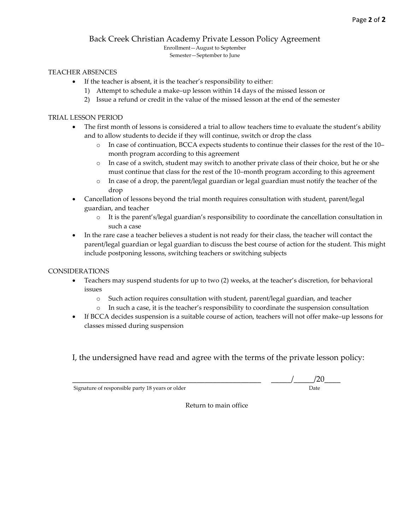#### Back Creek Christian Academy Private Lesson Policy Agreement

Enrollment—August to September Semester—September to June

#### TEACHER ABSENCES

- If the teacher is absent, it is the teacher's responsibility to either:
	- 1) Attempt to schedule a make–up lesson within 14 days of the missed lesson or
	- 2) Issue a refund or credit in the value of the missed lesson at the end of the semester

#### TRIAL LESSON PERIOD

- The first month of lessons is considered a trial to allow teachers time to evaluate the student's ability and to allow students to decide if they will continue, switch or drop the class
	- o In case of continuation, BCCA expects students to continue their classes for the rest of the 10– month program according to this agreement
	- o In case of a switch, student may switch to another private class of their choice, but he or she must continue that class for the rest of the 10–month program according to this agreement
	- o In case of a drop, the parent/legal guardian or legal guardian must notify the teacher of the drop
- Cancellation of lessons beyond the trial month requires consultation with student, parent/legal guardian, and teacher
	- o It is the parent's/legal guardian's responsibility to coordinate the cancellation consultation in such a case
- In the rare case a teacher believes a student is not ready for their class, the teacher will contact the parent/legal guardian or legal guardian to discuss the best course of action for the student. This might include postponing lessons, switching teachers or switching subjects

#### CONSIDERATIONS

- Teachers may suspend students for up to two (2) weeks, at the teacher's discretion, for behavioral issues
	- o Such action requires consultation with student, parent/legal guardian, and teacher
	- o In such a case, it is the teacher's responsibility to coordinate the suspension consultation
- If BCCA decides suspension is a suitable course of action, teachers will not offer make–up lessons for classes missed during suspension

I, the undersigned have read and agree with the terms of the private lesson policy:

Signature of responsible party 18 years or older

 $\frac{1}{\sqrt{20}}$  Date

Return to main office